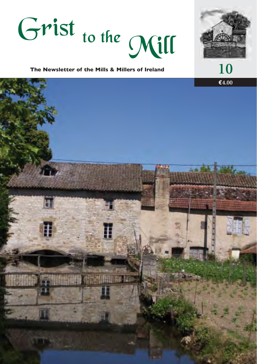



**The Newsletter of the Mills & Millers of Ireland 10**

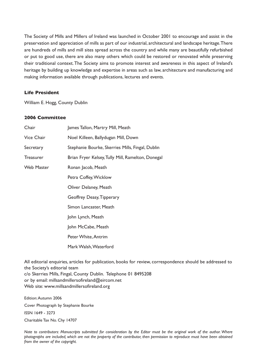The Society of Mills and Millers of Ireland was launched in October 2001 to encourage and assist in the preservation and appreciation of mills as part of our industrial, architectural and landscape heritage.There are hundreds of mills and mill sites spread across the country and while many are beautifully refurbished or put to good use, there are also many others which could be restored or renovated while preserving their traditional context.The Society aims to promote interest and awareness in this aspect of Ireland's heritage by building up knowledge and expertise in areas such as law, architecture and manufacturing and making information available through publications, lectures and events.

#### **Life President**

William E. Hogg, County Dublin

#### **2006 Committee**

| Chair             | James Tallon, Martry Mill, Meath                  |
|-------------------|---------------------------------------------------|
| Vice Chair        | Noel Killeen, Ballydugan Mill, Down               |
| Secretary         | Stephanie Bourke, Skerries Mills, Fingal, Dublin  |
| <b>Treasurer</b>  | Brian Fryer Kelsey, Tully Mill, Ramelton, Donegal |
| <b>Web Master</b> | Ronan Jacob, Meath                                |
|                   | Petra Coffey, Wicklow                             |
|                   | Oliver Delaney, Meath                             |
|                   | Geoffrey Deasy, Tipperary                         |
|                   | Simon Lancaster, Meath                            |
|                   | John Lynch, Meath                                 |
|                   | John McCabe, Meath                                |
|                   | Peter White, Antrim                               |
|                   | Mark Walsh, Waterford                             |

All editorial enquiries, articles for publication, books for review, correspondence should be addressed to the Society's editorial team c/o Skerries Mills, Fingal, County Dublin. Telephone 01 8495208 or by email: millsandmillersofireland@eircom.net Web site: www.millsandmillersofireland.org

Edition:Autumn 2006 Cover Photograph by Stephanie Bourke ISSN 1649 - 3273 Charitable Tax No. Chy 14707

*Note to contributors: Manuscripts submitted for consideration by the Editor must be the original work of the author. Where photographs are included, which are not the property of the contributor, then permission to reproduce must have been obtained from the owner of the copyright.*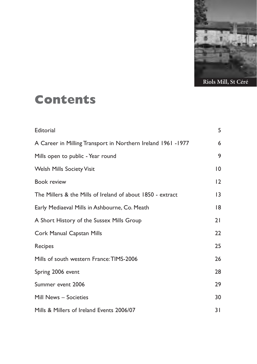

### **Contents**

| Editorial                                                    | 5               |
|--------------------------------------------------------------|-----------------|
| A Career in Milling Transport in Northern Ireland 1961 -1977 | 6               |
| Mills open to public - Year round                            | 9               |
| <b>Welsh Mills Society Visit</b>                             | 10              |
| <b>Book review</b>                                           | 12              |
| The Millers & the Mills of Ireland of about 1850 - extract   | $\overline{13}$ |
| Early Mediaeval Mills in Ashbourne, Co. Meath                | 18              |
| A Short History of the Sussex Mills Group                    | 21              |
| Cork Manual Capstan Mills                                    | 22              |
| Recipes                                                      | 25              |
| Mills of south western France: TIMS-2006                     | 26              |
| Spring 2006 event                                            | 28              |
| Summer event 2006                                            | 29              |
| Mill News - Societies                                        | 30              |
| Mills & Millers of Ireland Events 2006/07                    | 31              |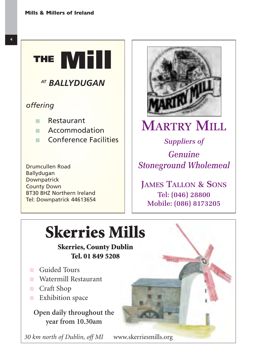

Drumcullen Road Ballydugan **Downpatrick** County Down BT30 8HZ Northern Ireland Tel: Downpatrick 44613654



### **MARTRY MILL**

*Suppliers of Genuine Stoneground Wholemeal*

**JAMES TALLON & SONS** Tel: (046) 28800 Mobile: (086) 8173205

## **Skerries Mills**

**Skerries, County Dublin Tel. 01 849 5208**

- Guided Tours
- Watermill Restaurant
- Craft Shop
- Exhibition space

**Open daily throughout the year from 10.30am**

*30 km north of Dublin, off MI* www.skerriesmills.org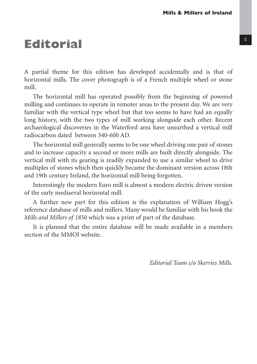### **Editorial** <sup>5</sup>

A partial theme for this edition has developed accidentally and is that of horizontal mills. The cover photograph is of a French multiple wheel or stone mill.

The horizontal mill has operated possibly from the beginning of powered milling and continues to operate in remoter areas to the present day. We are very familiar with the vertical type wheel but that too seems to have had an equally long history, with the two types of mill working alongside each other. Recent archaeological discoveries in the Waterford area have unearthed a vertical mill radiocarbon dated between 340-600 AD.

The horizontal mill generally seems to be one wheel driving one pair of stones and to increase capacity a second or more mills are built directly alongside. The vertical mill with its gearing is readily expanded to use a similar wheel to drive multiples of stones which then quickly became the dominant version across 18th and 19th century Ireland, the horizontal mill being forgotten.

Interestingly the modern Euro mill is almost a modern electric driven version of the early mediaeval horizontal mill.

A further new part for this edition is the explanation of William Hogg's reference database of mills and millers. Many would be familiar with his book the *Mills and Millers of 1850* which was a print of part of the database.

It is planned that the entire database will be made available in a members section of the MMOI website.

*Editorial Team c/o Skerries Mills.*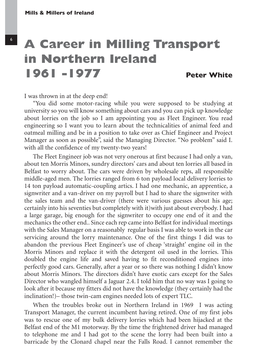### **A Career in Milling Transport in Northern Ireland 1961 -1977 Peter White**

I was thrown in at the deep end!

"You did some motor-racing while you were supposed to be studying at university so you will know something about cars and you can pick up knowledge about lorries on the job so I am appointing you as Fleet Engineer. You read engineering so I want you to learn about the technicalities of animal feed and oatmeal milling and be in a position to take over as Chief Engineer and Project Manager as soon as possible", said the Managing Director. "No problem" said I. with all the confidence of my twenty-two years!

The Fleet Engineer job was not very onerous at first because I had only a van, about ten Morris Minors, sundry directors' cars and about ten lorries all based in Belfast to worry about. The cars were driven by wholesale reps, all responsible middle-aged men. The lorries ranged from 6 ton payload local delivery lorries to 14 ton payload automatic-coupling artics. I had one mechanic, an apprentice, a signwriter and a van-driver on my payroll but I had to share the signwriter with the sales team and the van-driver (there were various guesses about his age; certainly into his seventies but completely with it)with just about everybody. I had a large garage, big enough for the signwriter to occupy one end of it and the mechanics the other end.. Since each rep came into Belfast for individual meetings with the Sales Manager on a reasonably regular basis I was able to work in the car servicing around the lorry maintenance. One of the first things I did was to abandon the previous Fleet Engineer's use of cheap 'straight' engine oil in the Morris Minors and replace it with the detergent oil used in the lorries. This doubled the engine life and saved having to fit reconditioned engines into perfectly good cars. Generally, after a year or so there was nothing I didn't know about Morris Minors. The directors didn't have exotic cars except for the Sales Director who wangled himself a Jaguar 2.4. I told him that no way was I going to look after it because my fitters did not have the knowledge (they certainly had the inclination!)– those twin-cam engines needed lots of expert TLC.

When the troubles broke out in Northern Ireland in 1969 I was acting Transport Manager, the current incumbent having retired. One of my first jobs was to rescue one of my bulk delivery lorries which had been hijacked at the Belfast end of the M1 motorway. By the time the frightened driver had managed to telephone me and I had got to the scene the lorry had been built into a barricade by the Clonard chapel near the Falls Road. I cannot remember the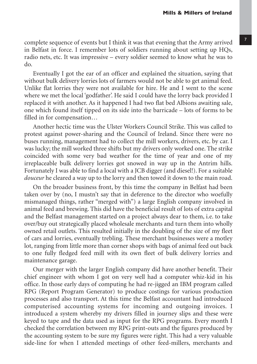complete sequence of events but I think it was that evening that the Army arrived in Belfast in force. I remember lots of soldiers running about setting up HQs, radio nets, etc. It was impressive – every soldier seemed to know what he was to do.

Eventually I got the ear of an officer and explained the situation, saying that without bulk delivery lorries lots of farmers would not be able to get animal feed. Unlike flat lorries they were not available for hire. He and I went to the scene where we met the local 'godfather'. He said I could have the lorry back provided I replaced it with another. As it happened I had two flat bed Albions awaiting sale, one which found itself tipped on its side into the barricade – lots of forms to be filled in for compensation…

Another hectic time was the Ulster Workers Council Strike. This was called to protest against power-sharing and the Council of Ireland. Since there were no buses running, management had to collect the mill workers, drivers, etc. by car. I was lucky; the mill worked three shifts but my drivers only worked one. The strike coincided with some very bad weather for the time of year and one of my irreplaceable bulk delivery lorries got snowed in way up in the Antrim hills. Fortunately I was able to find a local with a JCB digger (and diesel!). For a suitable *douceur* he cleared a way up to the lorry and then towed it down to the main road.

On the broader business front, by this time the company in Belfast had been taken over by (no, I mustn't say that in deference to the director who woefully mismanaged things, rather "merged with") a large English company involved in animal feed and brewing. This did have the beneficial result of lots of extra capital and the Belfast management started on a project always dear to them, i.e. to take over/buy out strategically placed wholesale merchants and turn them into wholly owned retail outlets. This resulted initially in the doubling of the size of my fleet of cars and lorries, eventually trebling. These merchant businesses were a motley lot, ranging from little more than corner shops with bags of animal feed out back to one fully fledged feed mill with its own fleet of bulk delivery lorries and maintenance garage.

Our merger with the larger English company did have another benefit. Their chief engineer with whom I got on very well had a computer whiz-kid in his office. In those early days of computing he had re-jigged an IBM program called RPG (Report Program Generator) to produce costings for various production processes and also transport. At this time the Belfast accountant had introduced computerised accounting systems for incoming and outgoing invoices. I introduced a system whereby my drivers filled in journey slips and these were keyed to tape and the data used as input for the RPG programs. Every month I checked the correlation between my RPG print-outs and the figures produced by the accounting system to be sure my figures were right. This had a very valuable side-line for when I attended meetings of other feed-millers, merchants and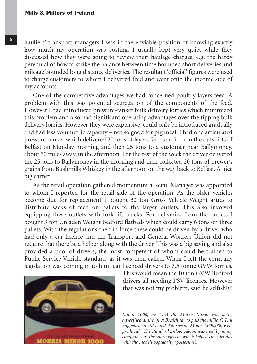hauliers' transport managers I was in the enviable position of knowing exactly how much my operation was costing. I usually kept very quiet while they discussed how they were going to review their haulage charges, e.g. the hardy perennial of how to strike the balance between time bounded short deliveries and mileage bounded long distance deliveries. The resultant 'official' figures were used to charge customers to whom I delivered feed and went onto the income side of my accounts.

One of the competitive advantages we had concerned poultry layers feed. A problem with this was potential segregation of the components of the feed. However I had introduced pressure-tanker bulk delivery lorries which minimized this problem and also had significant operating advantages over the tipping bulk delivery lorries. However they were expensive, could only be introduced gradually and had less volumetric capacity – not so good for pig meal. I had one articulated pressure-tanker which delivered 20 tons of layers feed to a farm in the outskirts of Belfast on Monday morning and then 25 tons to a customer near Ballymoney, about 50 miles away, in the afternoon. For the rest of the week the driver delivered the 25 tons to Ballymoney in the morning and then collected 20 tons of brewer's grains from Bushmills Whiskey in the afternoon on the way back to Belfast. A nice big earner!

As the retail operation gathered momentum a Retail Manager was appointed to whom I reported for the retail side of the operation. As the older vehicles become due for replacement I bought 32 ton Gross Vehicle Weight artics to distribute sacks of feed on pallets to the larger outlets. This also involved equipping these outlets with fork-lift trucks. For deliveries from the outlets I bought 3 ton Unladen Weight Bedford flatbeds which could carry 6 tons on three pallets. With the regulations then in force these could be driven by a driver who had only a car licence and the Transport and General Workers Union did not require that there be a helper along with the driver. This was a big saving and also provided a pool of drivers, the most competent of whom could be trained to Public Service Vehicle standard, as it was then called. When I left the company legislation was coming in to limit car licenced drivers to 7.5 tonne GVW lorries.



This would mean the 10 ton GVW Bedford drivers all needing PSV licences. However that was not my problem, said he selfishly!

*Minor 1000, by 1963 the Morris Minor was being advertised as the "first British car to pass the million". This happened in 1961 and 350 special Minor 1,000,000 were produced. The standard 2-door saloon was used by many companies as the sales reps car which helped considerably with the models popularity (possessive).*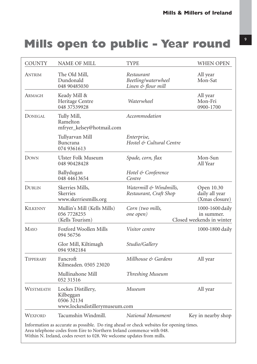### **Mills open to public - Year round**

| <b>COUNTY</b>   | NAME OF MILL                                                                                                                                                                                                                               | TYPE                                                    | WHEN OPEN                                                  |
|-----------------|--------------------------------------------------------------------------------------------------------------------------------------------------------------------------------------------------------------------------------------------|---------------------------------------------------------|------------------------------------------------------------|
| <b>ANTRIM</b>   | The Old Mill,<br>Dundonald<br>048 90485030                                                                                                                                                                                                 | Restaurant<br>Beetling/waterwheel<br>Linen & flour mill | All year<br>Mon-Sat                                        |
| Armagh          | Keady Mill &<br>Heritage Centre<br>048 37539928                                                                                                                                                                                            | Waterwheel                                              | All year<br>Mon-Fri<br>0900-1700                           |
| <b>DONEGAL</b>  | Tully Mill,<br>Ramelton<br>mfryer_kelsey@hotmail.com                                                                                                                                                                                       | Accommodation                                           |                                                            |
|                 | Tullyarvan Mill<br>Buncrana<br>074 9361613                                                                                                                                                                                                 | Enterprise,<br>Hostel & Cultural Centre                 |                                                            |
| DOWN            | Ulster Folk Museum<br>048 90428428                                                                                                                                                                                                         | Spade, corn, flax                                       | Mon-Sun<br>All Year                                        |
|                 | Ballydugan<br>048 44613654                                                                                                                                                                                                                 | Hotel & Conference<br>Centre                            |                                                            |
| DUBLIN          | Skerries Mills,<br>Skerries<br>www.skerriesmills.org                                                                                                                                                                                       | Watermill & Windmills,<br>Restaurant, Craft Shop        | Open 10.30<br>daily all year<br>(Xmas closure)             |
| <b>KILKENNY</b> | Mullin's Mill (Kells Mills)<br>056 7728255<br>(Kells Tourism)                                                                                                                                                                              | Corn (two mills,<br>one open)                           | 1000-1600 daily<br>in summer.<br>Closed weekends in winter |
| <b>MAYO</b>     | Foxford Woollen Mills<br>094 56756                                                                                                                                                                                                         | <i>Visitor centre</i>                                   | 1000-1800 daily                                            |
|                 | Glor Mill, Kiltimagh<br>094 9382184                                                                                                                                                                                                        | Studio/Gallery                                          |                                                            |
| TIPPERARY       | Fancroft<br>Kilmeaden. 0505 23020                                                                                                                                                                                                          | Millhouse & Gardens                                     | All year                                                   |
|                 | Mullinahone Mill<br>052 31516                                                                                                                                                                                                              | Threshing Museum                                        |                                                            |
| WESTMEATH       | Lockes Distillery,<br>Kilbeggan<br>0506 32134<br>www.lockesdistillerymuseum.com                                                                                                                                                            | Museum                                                  | All year                                                   |
| <b>WEXFORD</b>  | Tacumshin Windmill.                                                                                                                                                                                                                        | National Monument                                       | Key in nearby shop                                         |
|                 | Information as accurate as possible. Do ring ahead or check websites for opening times.<br>Area telephone codes from Eire to Northern Ireland commence with 048.<br>Within N. Ireland, codes revert to 028. We welcome updates from mills. |                                                         |                                                            |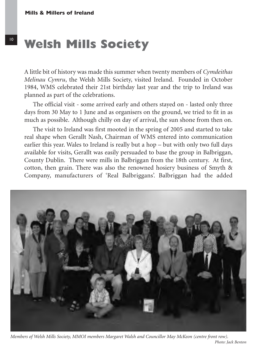A little bit of history was made this summer when twenty members of *Cymdeithas Melinau Cymru*, the Welsh Mills Society, visited Ireland. Founded in October 1984, WMS celebrated their 21st birthday last year and the trip to Ireland was planned as part of the celebrations.

The official visit - some arrived early and others stayed on - lasted only three days from 30 May to 1 June and as organisers on the ground, we tried to fit in as much as possible. Although chilly on day of arrival, the sun shone from then on.

The visit to Ireland was first mooted in the spring of 2005 and started to take real shape when Gerallt Nash, Chairman of WMS entered into communication earlier this year. Wales to Ireland is really but a hop – but with only two full days available for visits, Gerallt was easily persuaded to base the group in Balbriggan, County Dublin. There were mills in Balbriggan from the 18th century. At first, cotton, then grain. There was also the renowned hosiery business of Smyth & Company, manufacturers of 'Real Balbriggans'. Balbriggan had the added



*Members of Welsh Mills Society, MMOI members Margaret Walsh and Councillor May McKeon (centre front row).*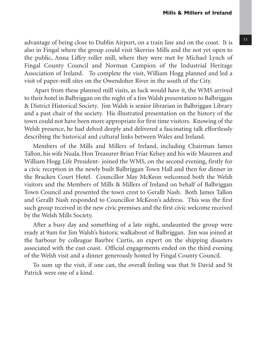advantage of being close to Dublin Airport, on a train line and on the coast. It is also in Fingal where the group could visit Skerries Mills and the not yet open to the public, Anna Liffey roller mill, where they were met by Michael Lynch of Fingal County Council and Norman Campion of the Industrial Heritage Association of Ireland. To complete the visit, William Hogg planned and led a visit of paper-mill sites on the Owendoher River in the south of the City.

Apart from these planned mill visits, as luck would have it, the WMS arrived to their hotel in Balbriggan on the night of a Jim Walsh presentation to Balbriggan & District Historical Society. Jim Walsh is senior librarian in Balbriggan Library and a past chair of the society. His illustrated presentation on the history of the town could not have been more appropriate for first time visitors. Knowing of the Welsh presence, he had delved deeply and delivered a fascinating talk effortlessly describing the historical and cultural links between Wales and Ireland.

Members of the Mills and Millers of Ireland, including Chairman James Tallon, his wife Nuala, Hon Treasurer Brian Friar Kelsey and his wife Maureen and William Hogg Life President- joined the WMS, on the second evening, firstly for a civic reception in the newly built Balbriggan Town Hall and then for dinner in the Bracken Court Hotel. Councillor May McKeon welcomed both the Welsh visitors and the Members of Mills & Millers of Ireland on behalf of Balbriggan Town Council and presented the town crest to Gerallt Nash. Both James Tallon and Gerallt Nash responded to Councillor McKeon's address. This was the first such group received in the new civic premises and the first civic welcome received by the Welsh Mills Society.

After a busy day and something of a late night, undaunted the group were ready at 9am for Jim Walsh's historic walkabout of Balbriggan. Jim was joined at the harbour by colleague Bairbre Curtis, an expert on the shipping disasters associated with the east coast. Official engagements ended on the third evening of the Welsh visit and a dinner generously hosted by Fingal County Council.

To sum up the visit, if one can, the overall feeling was that St David and St Patrick were one of a kind.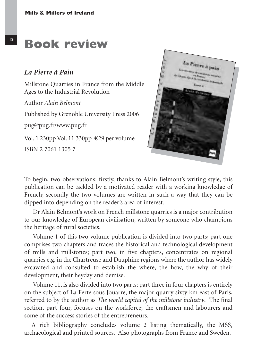### **Book review**

#### *La Pierre à Pain*

Millstone Quarries in France from the Middle Ages to the Industrial Revolution

Author *Alain Belmont*

Published by Grenoble University Press 2006

pug@pug.fr/www.pug.fr

Vol. 1 230pp Vol. 11 330pp €29 per volume

ISBN 2 7061 1305 7



To begin, two observations: firstly, thanks to Alain Belmont's writing style, this publication can be tackled by a motivated reader with a working knowledge of French; secondly the two volumes are written in such a way that they can be dipped into depending on the reader's area of interest.

Dr Alain Belmont's work on French millstone quarries is a major contribution to our knowledge of European civilisation, written by someone who champions the heritage of rural societies.

Volume 1 of this two volume publication is divided into two parts; part one comprises two chapters and traces the historical and technological development of mills and millstones; part two, in five chapters, concentrates on regional quarries e.g. in the Chartreuse and Dauphine regions where the author has widely excavated and consulted to establish the where, the how, the why of their development, their heyday and demise.

Volume 11, is also divided into two parts; part three in four chapters is entirely on the subject of La Ferte sous Jouarre, the major quarry sixty km east of Paris, referred to by the author as *The world capital of the millstone industry*. The final section, part four, focuses on the workforce; the craftsmen and labourers and some of the success stories of the entrepreneurs.

A rich bibliography concludes volume 2 listing thematically, the MSS, archaeological and printed sources. Also photographs from France and Sweden.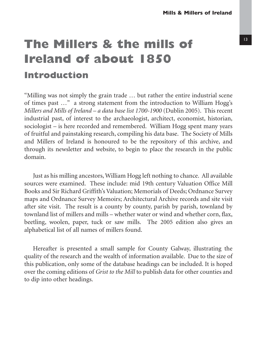### **The Millers & the mills of Ireland of about 1850**

#### **Introduction**

"Milling was not simply the grain trade … but rather the entire industrial scene of times past …" a strong statement from the introduction to William Hogg's *Millers and Mills of Ireland – a data base list 1700-1900* (Dublin 2005). This recent industrial past, of interest to the archaeologist, architect, economist, historian, sociologist – is here recorded and remembered. William Hogg spent many years of fruitful and painstaking research, compiling his data base. The Society of Mills and Millers of Ireland is honoured to be the repository of this archive, and through its newsletter and website, to begin to place the research in the public domain.

Just as his milling ancestors, William Hogg left nothing to chance. All available sources were examined. These include: mid 19th century Valuation Office Mill Books and Sir Richard Griffith's Valuation; Memorials of Deeds; Ordnance Survey maps and Ordnance Survey Memoirs; Architectural Archive records and site visit after site visit. The result is a county by county, parish by parish, townland by townland list of millers and mills – whether water or wind and whether corn, flax, beetling, woolen, paper, tuck or saw mills. The 2005 edition also gives an alphabetical list of all names of millers found.

Hereafter is presented a small sample for County Galway, illustrating the quality of the research and the wealth of information available. Due to the size of this publication, only some of the database headings can be included. It is hoped over the coming editions of *Grist to the Mill* to publish data for other counties and to dip into other headings.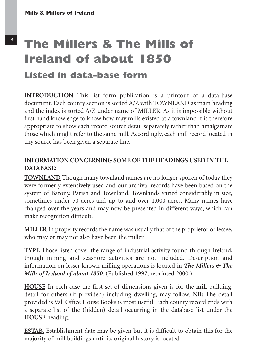### **The Millers & The Mills of Ireland of about 1850**

#### **Listed in data-base form**

**INTRODUCTION** This list form publication is a printout of a data-base document. Each county section is sorted A/Z with TOWNLAND as main heading and the index is sorted A/Z under name of MILLER. As it is impossible without first hand knowledge to know how may mills existed at a townland it is therefore appropriate to show each record source detail separately rather than amalgamate those which might refer to the same mill. Accordingly, each mill record located in any source has been given a separate line.

#### **INFORMATION CONCERNING SOME OF THE HEADINGS USED IN THE DATABASE:**

**TOWNLAND** Though many townland names are no longer spoken of today they were formerly extensively used and our archival records have been based on the system of Barony, Parish and Townland. Townlands varied considerably in size, sometimes under 50 acres and up to and over 1,000 acres. Many names have changed over the years and may now be presented in different ways, which can make recognition difficult.

**MILLER** In property records the name was usually that of the proprietor or lessee, who may or may not also have been the miller.

**TYPE** Those listed cover the range of industrial activity found through Ireland, though mining and seashore activities are not included. Description and information on lesser known milling operations is located in *The Millers & The Mills of Ireland of about 1850*. (Published 1997, reprinted 2000.)

**HOUSE** In each case the first set of dimensions given is for the **mill** building, detail for others (if provided) including dwelling, may follow. **NB:** The detail provided is Val. Office House Books is most useful. Each county record ends with a separate list of the (hidden) detail occurring in the database list under the **HOUSE** heading.

**ESTAB.** Establishment date may be given but it is difficult to obtain this for the majority of mill buildings until its original history is located.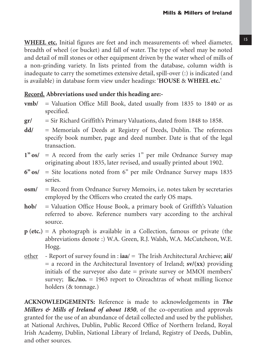**WHEEL etc.** Initial figures are feet and inch measurements of: wheel diameter, breadth of wheel (or bucket) and fall of water. The type of wheel may be noted and detail of mill stones or other equipment driven by the water wheel of mills of a non-grinding variety. In lists printed from the database, column width is inadequate to carry the sometimes extensive detail, spill-over (:) is indicated (and is available) in database form view under headings: '**HOUSE** & **WHEEL etc.**'

#### **Record. Abbreviations used under this heading are:-**

- **vmb/** = Valuation Office Mill Book, dated usually from 1835 to 1840 or as specified.
- **gr/** = Sir Richard Griffith's Primary Valuations, dated from 1848 to 1858.
- **dd/** = Memorials of Deeds at Registry of Deeds, Dublin. The references specify book number, page and deed number. Date is that of the legal transaction.
- **1" os/** = A record from the early series 1" per mile Ordnance Survey map originating about 1835, later revised, and usually printed about 1902.
- **6" os/** = Site locations noted from 6" per mile Ordnance Survey maps 1835 series.
- **osm/** = Record from Ordnance Survey Memoirs, i.e. notes taken by secretaries employed by the Officers who created the early OS maps.
- **hob/** = Valuation Office House Book, a primary book of Griffith's Valuation referred to above. Reference numbers vary according to the archival source.
- **p (etc.)** = A photograph is available in a Collection, famous or private (the abbreviations denote :) W.A. Green, R.J. Walsh, W.A. McCutcheon, W.E. Hogg.
- other Report of survey found in : **iaa**/ = The Irish Architectural Archieve; **aii/**  $=$  a record in the Architectural Inventory of Ireland; **sv/(xx)** providing initials of the surveyor also date = private survey or MMOI members' survey; **lic./no.** = 1963 report to Oireachtras of wheat milling licence holders (& tonnage.)

**ACKNOWLEDGEMENTS:** Reference is made to acknowledgements in *The Millers & Mills of Ireland of about 1850*, of the co-operation and approvals granted for the use of an abundance of detail collected and used by the publisher, at National Archives, Dublin, Public Record Office of Northern Ireland, Royal Irish Academy, Dublin, National Library of Ireland, Registry of Deeds, Dublin, and other sources.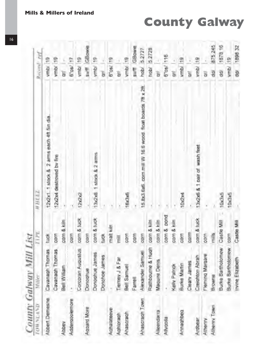| <b>DAYTAW #02</b> | County Galway Mill List<br>Viller | TI <sub>7</sub> E  | <b>WHEEL</b>                                            |             | Record: ref  |
|-------------------|-----------------------------------|--------------------|---------------------------------------------------------|-------------|--------------|
| Abbert Demesne    | Cavanagh Thomas                   | tuck               | 12x2x1. 1 stock & 2 arms each 4ft 5in dia               | vmb/19      |              |
|                   | Cavanagh Thomas                   | COFFT              | 12x2x4 destroved by fire                                | ymb/ 19     |              |
| Abbey             | Bell William                      | corn & kiln        |                                                         | Ğ           |              |
| Addergooiemore    |                                   | corn               |                                                         | 6"os/ 17    |              |
|                   | Corcoram Augustus                 | corn & luck        | 1262                                                    | ymb/19      |              |
| Acquire More      | Donoghue                          | corn               |                                                         |             | sv/ff GBowie |
|                   | Donoghue James                    | corn & tuck        | 13x2x8 1 stock & 2 arms                                 | ymbi        | ÷.           |
|                   | Donohoe James                     | ğuok               |                                                         | ā           |              |
| Achalateeve       |                                   | mait kuin          |                                                         | 6"08/       | ę            |
| Aghloragh         | Tierney J & Far                   | Ī                  |                                                         | ā           |              |
| Ahascragh         | Bell Samuel                       | poor               | 16x3x6                                                  | ymb/        | g            |
|                   | Farrell                           | com                |                                                         | soft        | GBowne       |
| Ahascragh Town    | Alexander Samuel                  | com                | 15.8x3.6x6. com mill W 16.6 wood float boards 7ft x 2ft | habí        | 5.2727       |
|                   | Rathbourne & Hugh                 | com & kiln         |                                                         | hobi'       | 52728        |
| Alleendarra       | Magure Denis                      | corn & kiln        |                                                         |             |              |
| Allypolla         |                                   | corn & pond        |                                                         | <b>Pos/</b> | 116          |
|                   | Kelly Patrick                     | corn & kiln        |                                                         | ā           |              |
| Anneghbeg         | <b>Burke Martin</b>               | corn               | 10x2x4                                                  | vmb/.       | 雲            |
|                   | Cleary James                      | barm               |                                                         | ä           |              |
| Ardbear           | Creighton Abrah                   | corn & tuck        | 13x2x6 & 1 call of wash feet                            | ymbl        | a            |
| Athenny           | Fleming Margare                   | corn               |                                                         | ä           |              |
| Athenry Town      | Browne                            | millis             |                                                         | Ì           | 875 245      |
|                   | Burke Bartholomew                 | Castle Mill        | 10x3x5                                                  | ğ           | 1878 16      |
|                   | Burke Bartholomew                 | corn               | 10x3x5                                                  | ymb/        | e            |
|                   | Irvine Elizabeth                  | <b>Castle Mill</b> |                                                         | dar         | 1898 32      |

**County Galway**

16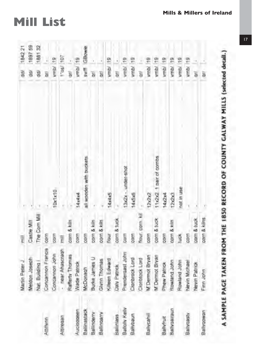|               | Martin Peter J        | $\frac{1}{k}$   |                          | g              | 1842 21      |
|---------------|-----------------------|-----------------|--------------------------|----------------|--------------|
|               | Meldon Joseph         | Castle Mill     |                          | ğ              | 1897 59      |
|               | Nat. Building         | The Com Mill    |                          | $\overline{g}$ | 188132       |
| Attitivnn     | Concennon Francis     | com             |                          | ă              |              |
|               | Concannon John        | porn            | 10x1x10                  | ymb/ 19        |              |
| Attiregan     | - near Ahascragh      | Ē               |                          | 105 197        |              |
|               | Rafferty Thomas       | com & kiln      |                          | gr.            |              |
| Aucloageen    | Nade Patrick          | $\frac{1}{2}$   | 14x4x4                   | ymb/19         |              |
| Balinastack   | McDonagh              | com             | all wooden with buckets. |                | sviff GBowie |
| Ballinderry   | Burke James U         | corn & kiln     |                          | B              |              |
| Ballingarry   | Givnn Thomas          | com & kiln      |                          | 196            |              |
|               | Killeen Edward        | hour            | 14x4x5                   | ymb/19         |              |
| Ballinlass    | Daly Patrick          | corn & tuck     |                          | $\frac{1}{2}$  |              |
| Balloly Kelly | Prendergast John      | Corm            | 3x2x - under-shot        | vmb/19         |              |
| Ballybaun     | Claribrack Lord       | com             | 14x5x6                   | vmb/           | 멷            |
|               | Cloribtock Lord       | Pour, corn. kil |                          | ā              |              |
| Ballycahill   | <b>M'Dermot Bryan</b> | poor            | 20202                    | <b>VITIDI</b>  |              |
|               | M Demot Bryan         | com & tuck      | 11/2/2 1 pair of combs   | wmb/.          | ÷.           |
| Ballyfruit    | Phew Patrick          | poor            | 14s2x4                   | er /dmy        |              |
| Ballyoalraun  | Rowland John          | corn & kiln     | 126263                   | vmb/19         |              |
|               | Rowland John          | tuck            | not in use               | vmb/ 19        |              |
| Ballyqasty    | Nevin Michael         | corn            |                          | ymb/19         |              |
|               | Nevin Patrick         | com & tuck      |                          | ă              |              |
| Ballygowan    | Firm John             | corn & kilns    |                          | à              |              |
|               |                       |                 |                          |                |              |

A SAMPLE PAGE TAKEN FROM THE 1850 RECORD OF COUNTY GALWAY MILLS (selected detail.)

**Mills & Millers of Ireland**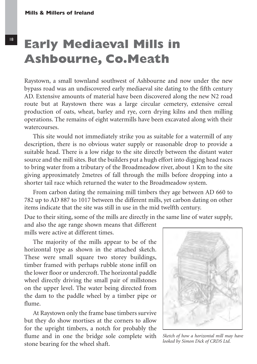### **Early Mediaeval Mills in Ashbourne, Co.Meath**

Raystown, a small townland southwest of Ashbourne and now under the new bypass road was an undiscovered early mediaeval site dating to the fifth century AD. Extensive amounts of material have been discovered along the new N2 road route but at Raystown there was a large circular cemetery, extensive cereal production of oats, wheat, barley and rye, corn drying kilns and then milling operations. The remains of eight watermills have been excavated along with their watercourses.

This site would not immediately strike you as suitable for a watermill of any description, there is no obvious water supply or reasonable drop to provide a suitable head. There is a low ridge to the site directly between the distant water source and the mill sites. But the builders put a hugh effort into digging head races to bring water from a tributary of the Broadmeadow river, about 1 Km to the site giving approximately 2metres of fall through the mills before dropping into a shorter tail race which returned the water to the Broadmeadow system.

From carbon dating the remaining mill timbers they age between AD 660 to 782 up to AD 887 to 1017 between the different mills, yet carbon dating on other items indicate that the site was still in use in the mid twelfth century.

Due to their siting, some of the mills are directly in the same line of water supply, and also the age range shown means that different mills were active at different times.

The majority of the mills appear to be of the horizontal type as shown in the attached sketch. These were small square two storey buildings, timber framed with perhaps rubble stone infill on the lower floor or undercroft. The horizontal paddle wheel directly driving the small pair of millstones on the upper level. The water being directed from the dam to the paddle wheel by a timber pipe or flume.

At Raystown only the frame base timbers survive but they do show mortises at the corners to allow for the upright timbers, a notch for probably the flume and in one the bridge sole complete with stone bearing for the wheel shaft.



*Sketch of how a horizontal mill may have looked by Simon Dick of CRDS Ltd.*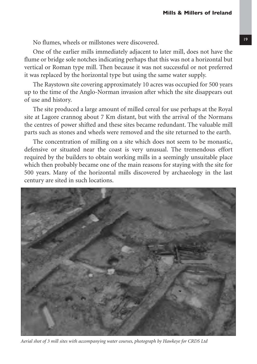No flumes, wheels or millstones were discovered.

One of the earlier mills immediately adjacent to later mill, does not have the flume or bridge sole notches indicating perhaps that this was not a horizontal but vertical or Roman type mill. Then because it was not successful or not preferred it was replaced by the horizontal type but using the same water supply.

The Raystown site covering approximately 10 acres was occupied for 500 years up to the time of the Anglo-Norman invasion after which the site disappears out of use and history.

The site produced a large amount of milled cereal for use perhaps at the Royal site at Lagore crannog about 7 Km distant, but with the arrival of the Normans the centres of power shifted and these sites became redundant. The valuable mill parts such as stones and wheels were removed and the site returned to the earth.

The concentration of milling on a site which does not seem to be monastic, defensive or situated near the coast is very unusual. The tremendous effort required by the builders to obtain working mills in a seemingly unsuitable place which then probably became one of the main reasons for staying with the site for 500 years. Many of the horizontal mills discovered by archaeology in the last century are sited in such locations.



*Aerial shot of 3 mill sites with accompanying water courses, photograph by Hawkeye for CRDS Ltd*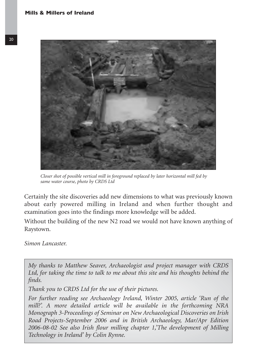

*Closer shot of possible vertical mill in foreground replaced by later horizontal mill fed by same water course, photo by CRDS Ltd*

Certainly the site discoveries add new dimensions to what was previously known about early powered milling in Ireland and when further thought and examination goes into the findings more knowledge will be added.

Without the building of the new N2 road we would not have known anything of Raystown.

*Simon Lancaster.*

*My thanks to Matthew Seaver, Archaeologist and project manager with CRDS Ltd, for taking the time to talk to me about this site and his thoughts behind the finds.*

*Thank you to CRDS Ltd for the use of their pictures.*

*For further reading see Archaeology Ireland, Winter 2005, article 'Run of the mill?'. A more detailed article will be available in the forthcoming NRA Monograph 3-Proceedings of Seminar on New Archaeological Discoveries on Irish Road Projects-September 2006 and in British Archaeology, Mar/Apr Edition 2006-08-02 See also Irish flour milling chapter 1,'The development of Milling Technology in Ireland' by Colin Rynne.*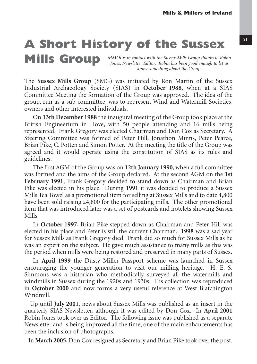### **A Short History of the Sussex**

**Mills Group** *MMOI is in contact with the Sussex Mills Group thanks to Robin Jones, Newsletter Editor. Robin has been good enough to let us know something about the Group.*

The **Sussex Mills Group** (SMG) was initiated by Ron Martin of the Sussex Industrial Archaeology Society (SIAS) in **October 1988**, when at a SIAS Committee Meeting the formation of the Group was approved. The idea of the group, run as a sub committee, was to represent Wind and Watermill Societies, owners and other interested individuals.

On **13th December 1988** the inaugural meeting of the Group took place at the British Engineerium in Hove, with 50 people attending and 16 mills being represented. Frank Gregory was elected Chairman and Don Cox as Secretary. A Steering Committee was formed of Peter Hill, Jonathon Minns, Peter Pearce, Brian Pike, C. Potten and Simon Potter. At the meeting the title of the Group was agreed and it would operate using the constitution of SIAS as its rules and guidelines.

The first AGM of the Group was on **12th January 1990**, when a full committee was formed and the aims of the Group declared. At the second AGM on the **1st February 1991**, Frank Gregory decided to stand down as Chairman and Brian Pike was elected in his place. During **1991** it was decided to produce a Sussex Mills Tea Towel as a promotional item for selling at Sussex Mills and to date 4,800 have been sold raising £4,800 for the participating mills. The other promotional item that was introduced later was a set of postcards and notelets showing Sussex Mills.

In **October 1997**, Brian Pike stepped down as Chairman and Peter Hill was elected in his place and Peter is still the current Chairman. **1998** was a sad year for Sussex Mills as Frank Gregory died. Frank did so much for Sussex Mills as he was an expert on the subject. He gave much assistance to many mills as this was the period when mills were being restored and preserved in many parts of Sussex.

In **April 1999** the Dusty Miller Passport scheme was launched in Sussex encouraging the younger generation to visit our milling heritage. H. E. S. Simmons was a historian who methodically surveyed all the watermills and windmills in Sussex during the 1920s and 1930s. His collection was reproduced in **October 2000** and now forms a very useful reference at West Blatchington Windmill.

Up until **July 2001**, news about Sussex Mills was published as an insert in the quarterly SIAS Newsletter, although it was edited by Don Cox. In **April 2001** Robin Jones took over as Editor. The following issue was published as a separate Newsletter and is being improved all the time, one of the main enhancements has been the inclusion of photographs.

In **March 2005**, Don Cox resigned as Secretary and Brian Pike took over the post.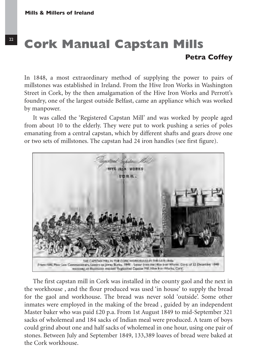#### **Cork Manual Capstan Mills Petra Coffey**

In 1848, a most extraordinary method of supplying the power to pairs of millstones was established in Ireland. From the Hive Iron Works in Washington Street in Cork, by the then amalgamation of the Hive Iron Works and Perrott's foundry, one of the largest outside Belfast, came an appliance which was worked by manpower.

It was called the 'Registered Capstan Mill' and was worked by people aged from about 10 to the elderly. They were put to work pushing a series of poles emanating from a central capstan, which by different shafts and gears drove one or two sets of millstones. The capstan had 24 iron handles (see first figure).



The first capstan mill in Cork was installed in the county gaol and the next in the workhouse , and the flour produced was used 'in house' to supply the bread for the gaol and workhouse. The bread was never sold 'outside'. Some other inmates were employed in the making of the bread , guided by an independent Master baker who was paid £20 p.a. From 1st August 1849 to mid-September 321 sacks of wholemeal and 184 sacks of Indian meal were produced. A team of boys could grind about one and half sacks of wholemeal in one hour, using one pair of stones. Between July and September 1849, 133,389 loaves of bread were baked at the Cork workhouse.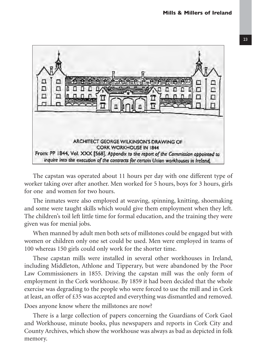

The capstan was operated about 11 hours per day with one different type of worker taking over after another. Men worked for 5 hours, boys for 3 hours, girls for one and women for two hours.

The inmates were also employed at weaving, spinning, knitting, shoemaking and some were taught skills which would give them employment when they left. The children's toil left little time for formal education, and the training they were given was for menial jobs.

When manned by adult men both sets of millstones could be engaged but with women or children only one set could be used. Men were employed in teams of 100 whereas 150 girls could only work for the shorter time.

These capstan mills were installed in several other workhouses in Ireland, including Middleton, Athlone and Tipperary, but were abandoned by the Poor Law Commissioners in 1855. Driving the capstan mill was the only form of employment in the Cork workhouse. By 1859 it had been decided that the whole exercise was degrading to the people who were forced to use the mill and in Cork at least, an offer of £35 was accepted and everything was dismantled and removed. Does anyone know where the millstones are now?

There is a large collection of papers concerning the Guardians of Cork Gaol and Workhouse, minute books, plus newspapers and reports in Cork City and County Archives, which show the workhouse was always as bad as depicted in folk memory.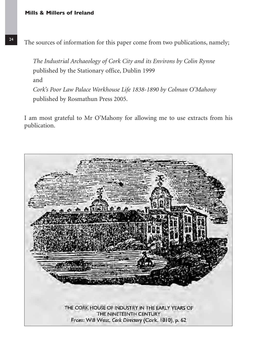*The Industrial Archaeology of Cork City and its Environs by Colin Rynne* published by the Stationary office, Dublin 1999 and *Cork's Poor Law Palace Workhouse Life 1838-1890 by Colman O'Mahony* published by Rosmathun Press 2005.

I am most grateful to Mr O'Mahony for allowing me to use extracts from his publication.

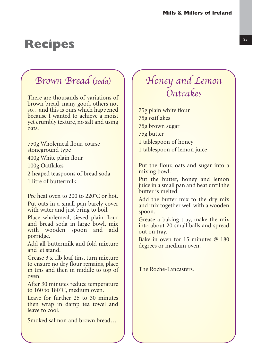### **Recipes** 25

#### Brown Bread (soda)

There are thousands of variations of brown bread, many good, others not so…and this is ours which happened because I wanted to achieve a moist yet crumbly texture, no salt and using oats.

750g Wholemeal flour, coarse stoneground type 400g White plain flour 100g Oatflakes 2 heaped teaspoons of bread soda 1 litre of buttermilk

Pre heat oven to 200 to 220°C or hot.

Put oats in a small pan barely cover with water and just bring to boil.

Place wholemeal, sieved plain flour and bread soda in large bowl, mix with wooden spoon and add porridge.

Add all buttermilk and fold mixture and let stand.

Grease 3 x 1lb loaf tins, turn mixture to ensure no dry flour remains, place in tins and then in middle to top of oven.

After 30 minutes reduce temperature to 160 to 180˚C, medium oven.

Leave for further 25 to 30 minutes then wrap in damp tea towel and leave to cool.

Smoked salmon and brown bread...

#### Honey and Lemon Oatcakes

75g plain white flour 75g oatflakes 75g brown sugar 75g butter 1 tablespoon of honey 1 tablespoon of lemon juice

Put the flour, oats and sugar into a mixing bowl.

Put the butter, honey and lemon juice in a small pan and heat until the butter is melted.

Add the butter mix to the dry mix and mix together well with a wooden spoon.

Grease a baking tray, make the mix into about 20 small balls and spread out on tray.

Bake in oven for 15 minutes @ 180 degrees or medium oven.

The Roche-Lancasters.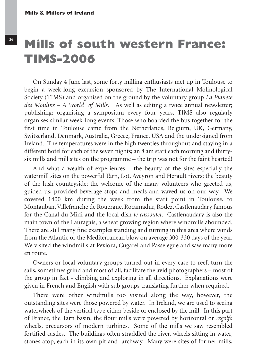#### **Mills of south western France: TIMS-2006**

On Sunday 4 June last, some forty milling enthusiasts met up in Toulouse to begin a week-long excursion sponsored by The International Molinological Society (TIMS) and organised on the ground by the voluntary group *La Planete des Moulins – A World of Mills*. As well as editing a twice annual newsletter; publishing; organising a symposium every four years, TIMS also regularly organises similar week-long events. Those who boarded the bus together for the first time in Toulouse came from the Netherlands, Belgium, UK, Germany, Switzerland, Denmark, Australia, Greece, France, USA and the undersigned from Ireland. The temperatures were in the high twenties throughout and staying in a different hotel for each of the seven nights; an 8 am start each morning and thirtysix mills and mill sites on the programme – the trip was not for the faint hearted!

And what a wealth of experiences – the beauty of the sites especially the watermill sites on the powerful Tarn, Lot, Aveyron and Herault rivers; the beauty of the lush countryside; the welcome of the many volunteers who greeted us, guided us; provided beverage stops and meals and waved us on our way. We covered 1400 km during the week from the start point in Toulouse, to Montauban, Villefranche de Rouergue, Rocamadur, Rodez, Castlenaudary famous for the Canal du Midi and the local dish *le cassoulet*. Castlenaudary is also the main town of the Lauragais, a wheat growing region where windmills abounded. There are still many fine examples standing and turning in this area where winds from the Atlantic or the Mediterranean blow on average 300-330 days of the year. We visited the windmills at Pexiora, Cugarel and Passelegue and saw many more en route.

Owners or local voluntary groups turned out in every case to reef, turn the sails, sometimes grind and most of all, facilitate the avid photographers – most of the group in fact - climbing and exploring in all directions. Explanations were given in French and English with sub groups translating further when required.

There were other windmills too visited along the way, however, the outstanding sites were those powered by water. In Ireland, we are used to seeing waterwheels of the vertical type either beside or enclosed by the mill. In this part of France, the Tarn basin, the flour mills were powered by horizontal or *regolfo* wheels, precursors of modern turbines. Some of the mills we saw resembled fortified castles. The buildings often straddled the river, wheels sitting in water, stones atop, each in its own pit and archway. Many were sites of former mills,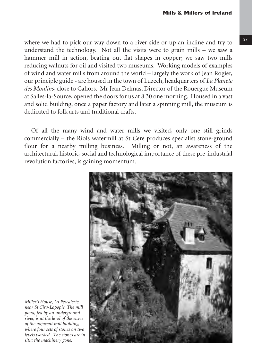where we had to pick our way down to a river side or up an incline and try to understand the technology. Not all the visits were to grain mills – we saw a hammer mill in action, beating out flat shapes in copper; we saw two mills reducing walnuts for oil and visited two museums. Working models of examples of wind and water mills from around the world – largely the work of Jean Rogier, our principle guide - are housed in the town of Luzech, headquarters of *La Planete des Moulins*, close to Cahors. Mr Jean Delmas, Director of the Rouergue Museum at Salles-la-Source, opened the doors for us at 8.30 one morning. Housed in a vast and solid building, once a paper factory and later a spinning mill, the museum is dedicated to folk arts and traditional crafts.

Of all the many wind and water mills we visited, only one still grinds commercially – the Riols watermill at St Cere produces specialist stone-ground flour for a nearby milling business. Milling or not, an awareness of the architectural, historic, social and technological importance of these pre-industrial revolution factories, is gaining momentum.



*Miller's House, La Pescalerie, near St Cirq-Lapopie. The mill pond, fed by an underground river, is at the level of the eaves of the adjacent mill building, where four sets of stones on two levels worked. The stones are in situ; the machinery gone.*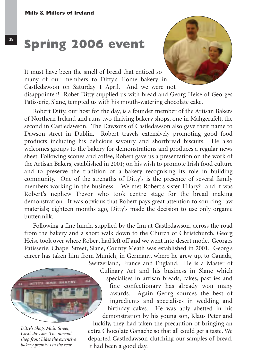It must have been the smell of bread that enticed so many of our members to Ditty's Home bakery in Castledawson on Saturday 1 April. And we were not disappointed! Robet Ditty supplied us with bread and Georg Heise of Georges Patisserie, Slane, tempted us with his mouth-watering chocolate cake.

Robert Ditty, our host for the day, is a founder member of the Artisan Bakers of Northern Ireland and runs two thriving bakery shops, one in Mahgerafelt, the second in Castledawson. The Dawsons of Castledawson also gave their name to Dawson street in Dublin. Robert travels extensively promoting good food products including his delicious savoury and shortbread biscuits. He also welcomes groups to the bakery for demonstrations and produces a regular news sheet. Following scones and coffee, Robert gave us a presentation on the work of the Artisan Bakers, established in 2001; on his wish to promote Irish food culture and to preserve the tradition of a bakery recognising its role in building community. One of the strengths of Ditty's is the presence of several family members working in the business. We met Robert's sister Hilary? and it was Robert's nephew Trevor who took centre stage for the bread making demonstration. It was obvious that Robert pays great attention to sourcing raw materials; eighteen months ago, Ditty's made the decision to use only organic buttermilk.

Following a fine lunch, supplied by the Inn at Castledawson, across the road from the bakery and a short walk down to the Church of Christchurch, Georg Heise took over where Robert had left off and we went into desert mode. Georges Patisserie, Chapel Street, Slane, County Meath was established in 2001. Georg's career has taken him from Munich, in Germany, where he grew up, to Canada,

It had been a good day.



*Ditty's Shop, Main Street, Castledawson. The normal shop front hides the extensive bakery premises to the rear.*

Switzerland, France and England. He is a Master of Culinary Art and his business in Slane which specialises in artisan breads, cakes, pastries and fine confectionary has already won many awards. Again Georg sources the best of ingredients and specialises in wedding and birthday cakes. He was ably abetted in his demonstration by his young son, Klaus Peter and luckily, they had taken the precaution of bringing an extra Chocolate Ganache so that all could get a taste. We departed Castledawson clutching our samples of bread.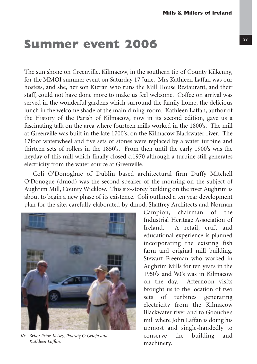### **Summer event 2006** 29

The sun shone on Greenville, Kilmacow, in the southern tip of County Kilkenny, for the MMOI summer event on Saturday 17 June. Mrs Kathleen Laffan was our hostess, and she, her son Kieran who runs the Mill House Restaurant, and their staff, could not have done more to make us feel welcome. Coffee on arrival was served in the wonderful gardens which surround the family home; the delicious lunch in the welcome shade of the main dining-room. Kathleen Laffan, author of the History of the Parish of Kilmacow, now in its second edition, gave us a fascinating talk on the area where fourteen mills worked in the 1800's. The mill at Greenville was built in the late 1700's, on the Kilmacow Blackwater river. The 17foot waterwheel and five sets of stones were replaced by a water turbine and thirteen sets of rollers in the 1850's. From then until the early 1900's was the heyday of this mill which finally closed c.1970 although a turbine still generates electricity from the water source at Greenville.

Coli O'Donoghue of Dublin based architectural firm Duffy Mitchell O'Donogue (dmod) was the second speaker of the morning on the subject of Aughrim Mill, County Wicklow. This six-storey building on the river Aughrim is about to begin a new phase of its existence. Coli outlined a ten year development plan for the site, carefully elaborated by dmod, Shaffrey Architects and Norman



*l/r Brian Friar-Kelsey, Padraig O Griofa and Kathleen Laffan.*

Campion, chairman of the Industrial Heritage Association of Ireland. A retail, craft and educational experience is planned incorporating the existing fish farm and original mill building. Stewart Freeman who worked in Aughrim Mills for ten years in the 1950's and '60's was in Kilmacow on the day. Afternoon visits brought us to the location of two sets of turbines generating electricity from the Kilmacow Blackwater river and to Goouche's mill where John Laffan is doing his upmost and single-handedly to conserve the building and machinery.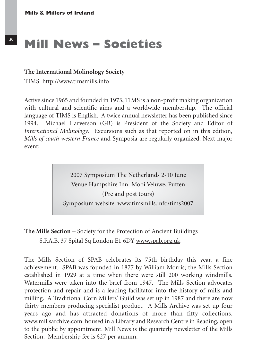### <sup>30</sup> Mill News – Societies

#### **The International Molinology Society**

TIMS http://www.timsmills.info

Active since 1965 and founded in 1973, TIMS is a non-profit making organization with cultural and scientific aims and a worldwide membership. The official language of TIMS is English. A twice annual newsletter has been published since 1994. Michael Harverson (GB) is President of the Society and Editor of *International Molinology*. Excursions such as that reported on in this edition, *Mills of south western France* and Symposia are regularly organized. Next major event:

> 2007 Symposium The Netherlands 2-10 June Venue Hampshire Inn Mooi Veluwe, Putten (Pre and post tours) Symposium website: www.timsmills.info/tims2007

**The Mills Section** – Society for the Protection of Ancient Buildings S.P.A.B. 37 Spital Sq London E1 6DY www.spab.org.uk

The Mills Section of SPAB celebrates its 75th birthday this year, a fine achievement. SPAB was founded in 1877 by William Morris; the Mills Section established in 1929 at a time when there were still 200 working windmills. Watermills were taken into the brief from 1947. The Mills Section advocates protection and repair and is a leading facilitator into the history of mills and milling. A Traditional Corn Millers' Guild was set up in 1987 and there are now thirty members producing specialist product. A Mills Archive was set up four years ago and has attracted donations of more than fifty collections. www.millsarchive.com housed in a Library and Research Centre in Reading, open to the public by appointment. Mill News is the quarterly newsletter of the Mills Section. Membership fee is £27 per annum.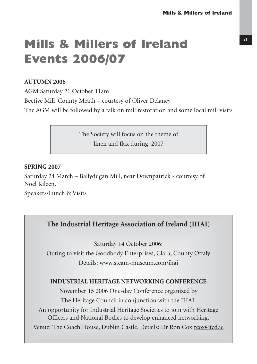#### 31

### **Mills & Millers of Ireland Events 2006/07**

#### **AUTUMN 2006**

AGM Saturday 21 October 11am Bective Mill, County Meath – courtesy of Oliver Delaney The AGM will be followed by a talk on mill restoration and some local mill visits

> The Society will focus on the theme of linen and flax during 2007

#### **SPRING 2007**

Saturday 24 March – Ballydugan Mill, near Downpatrick - courtesy of Noel Kileen.

Speakers/Lunch & Visits

#### **The Industrial Heritage Association of Ireland (IHAI)**

Saturday 14 October 2006:

Outing to visit the Goodbody Enterprises, Clara, County Offaly Details: www.steam-museum.com/ihai

#### **INDUSTRIAL HERITAGE NETWORKING CONFERENCE**

November 15 2006 One-day Conference organized by The Heritage Council in conjunction with the IHAI. An opportunity for Industrial Heritage Societies to join with Heritage Officers and National Bodies to develop enhanced networking. Venue: The Coach House, Dublin Castle. Details: Dr Ron Cox rcox@tcd.ie